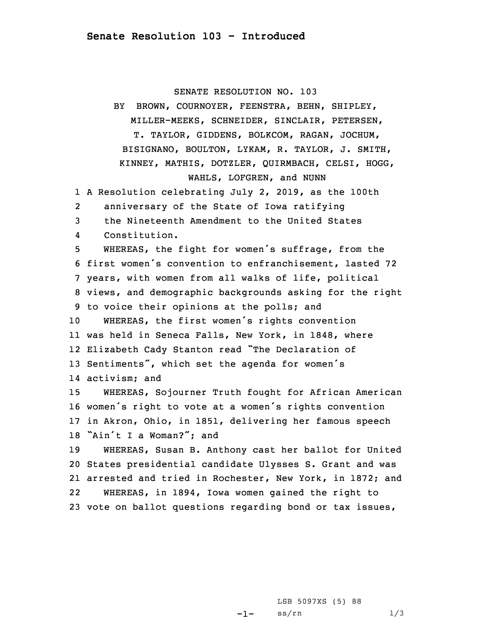## SENATE RESOLUTION NO. 103

BY BROWN, COURNOYER, FEENSTRA, BEHN, SHIPLEY, MILLER-MEEKS, SCHNEIDER, SINCLAIR, PETERSEN, T. TAYLOR, GIDDENS, BOLKCOM, RAGAN, JOCHUM, BISIGNANO, BOULTON, LYKAM, R. TAYLOR, J. SMITH, KINNEY, MATHIS, DOTZLER, QUIRMBACH, CELSI, HOGG, WAHLS, LOFGREN, and NUNN

1 <sup>A</sup> Resolution celebrating July 2, 2019, as the 100th

2anniversary of the State of Iowa ratifying

3 the Nineteenth Amendment to the United States

4Constitution.

 WHEREAS, the fight for women's suffrage, from the first women's convention to enfranchisement, lasted 72 years, with women from all walks of life, political views, and demographic backgrounds asking for the right to voice their opinions at the polls; and WHEREAS, the first women's rights convention was held in Seneca Falls, New York, in 1848, where Elizabeth Cady Stanton read "The Declaration of Sentiments", which set the agenda for women's activism; and

 WHEREAS, Sojourner Truth fought for African American women's right to vote at <sup>a</sup> women's rights convention in Akron, Ohio, in 1851, delivering her famous speech "Ain't <sup>I</sup> <sup>a</sup> Woman?"; and

 WHEREAS, Susan B. Anthony cast her ballot for United States presidential candidate Ulysses S. Grant and was arrested and tried in Rochester, New York, in 1872; and 22 WHEREAS, in 1894, Iowa women gained the right to vote on ballot questions regarding bond or tax issues,

> -1-LSB 5097XS (5) 88  $ss/rn$  1/3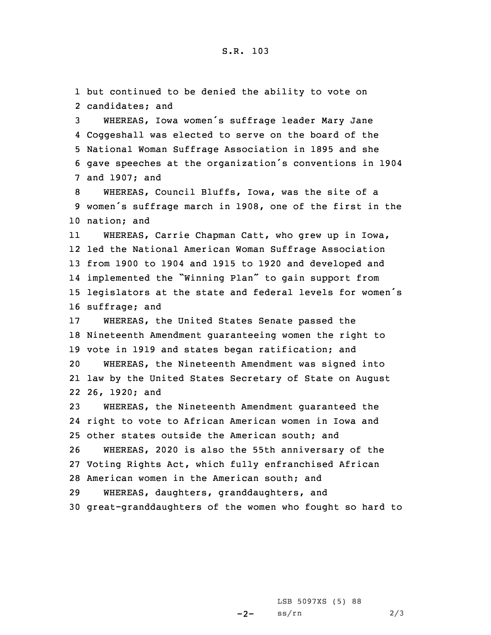but continued to be denied the ability to vote on candidates; and WHEREAS, Iowa women's suffrage leader Mary Jane Coggeshall was elected to serve on the board of the National Woman Suffrage Association in 1895 and she gave speeches at the organization's conventions in <sup>1904</sup> and 1907; and WHEREAS, Council Bluffs, Iowa, was the site of <sup>a</sup> women's suffrage march in 1908, one of the first in the nation; and 11 WHEREAS, Carrie Chapman Catt, who grew up in Iowa, led the National American Woman Suffrage Association from 1900 to 1904 and 1915 to 1920 and developed and implemented the "Winning Plan" to gain support from legislators at the state and federal levels for women's suffrage; and WHEREAS, the United States Senate passed the Nineteenth Amendment guaranteeing women the right to vote in 1919 and states began ratification; and WHEREAS, the Nineteenth Amendment was signed into law by the United States Secretary of State on August 26, 1920; and WHEREAS, the Nineteenth Amendment guaranteed the right to vote to African American women in Iowa and other states outside the American south; and WHEREAS, 2020 is also the 55th anniversary of the Voting Rights Act, which fully enfranchised African American women in the American south; and WHEREAS, daughters, granddaughters, and great-granddaughters of the women who fought so hard to

> $-2-$ LSB 5097XS (5) 88  $ss/rn$  2/3